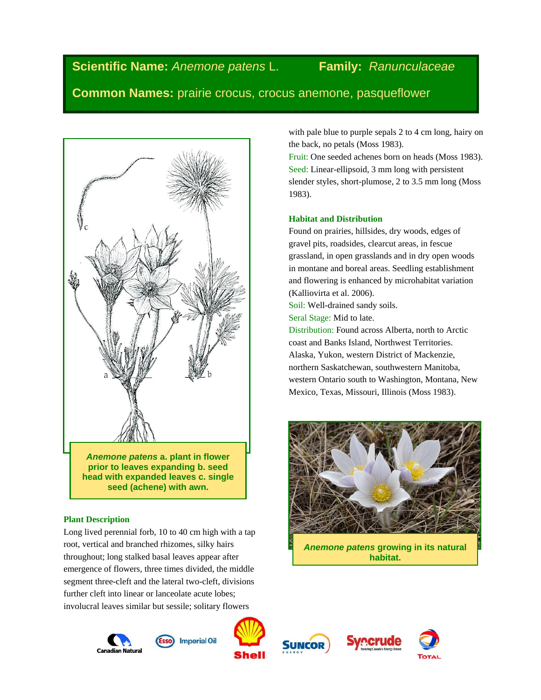# **Scientific Name:** *Anemone patens* L. **Family:** *Ranunculaceae*

**Common Names:** prairie crocus, crocus anemone, pasqueflower



*Anemone patens* **a. plant in flower prior to leaves expanding b. seed head with expanded leaves c. single seed (achene) with awn.**

# **Plant Description**

Long lived perennial forb, 10 to 40 cm high with a tap root, vertical and branched rhizomes, silky hairs throughout; long stalked basal leaves appear after emergence of flowers, three times divided, the middle segment three-cleft and the lateral two-cleft, divisions further cleft into linear or lanceolate acute lobes; involucral leaves similar but sessile; solitary flowers

Canadian Natura



**Imperial Oil** 









with pale blue to purple sepals 2 to 4 cm long, hairy on the back, no petals (Moss 1983).

Fruit: One seeded achenes born on heads (Moss 1983). Seed: Linear-ellipsoid, 3 mm long with persistent slender styles, short-plumose, 2 to 3.5 mm long (Moss 1983).

# **Habitat and Distribution**

Found on prairies, hillsides, dry woods, edges of gravel pits, roadsides, clearcut areas, in fescue grassland, in open grasslands and in dry open woods in montane and boreal areas. Seedling establishment and flowering is enhanced by microhabitat variation (Kalliovirta et al. 2006).

Soil: Well-drained sandy soils. Seral Stage: Mid to late.

Distribution: Found across Alberta, north to Arctic coast and Banks Island, Northwest Territories. Alaska, Yukon, western District of Mackenzie, northern Saskatchewan, southwestern Manitoba, western Ontario south to Washington, Montana, New Mexico, Texas, Missouri, Illinois (Moss 1983).

*Anemone patens* **growing in its natural habitat.**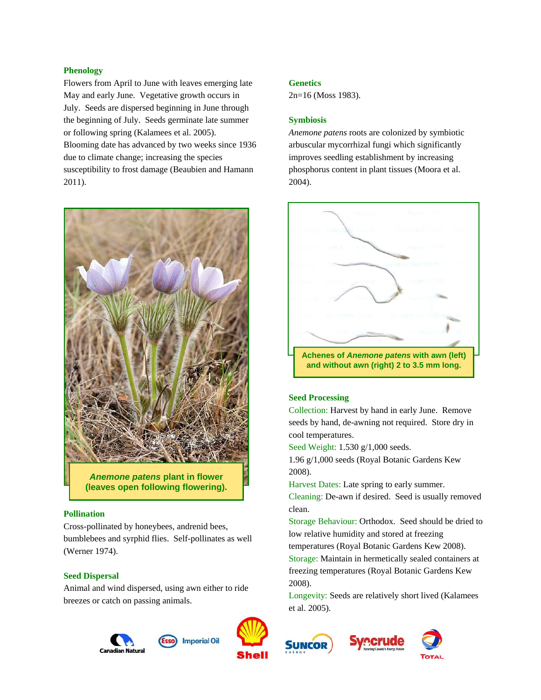### **Phenology**

Flowers from April to June with leaves emerging late May and early June. Vegetative growth occurs in July. Seeds are dispersed beginning in June through the beginning of July. Seeds germinate late summer or following spring (Kalamees et al. 2005). Blooming date has advanced by two weeks since 1936 due to climate change; increasing the species susceptibility to frost damage (Beaubien and Hamann 2011).



#### **Pollination**

Cross-pollinated by honeybees, andrenid bees, bumblebees and syrphid flies. Self-pollinates as well (Werner 1974).

#### **Seed Dispersal**

Animal and wind dispersed, using awn either to ride breezes or catch on passing animals.



**Genetics**

**Symbiosis**

2n=16 (Moss 1983).

*Anemone patens* roots are colonized by symbiotic arbuscular mycorrhizal fungi which significantly improves seedling establishment by increasing phosphorus content in plant tissues (Moora et al. 2004).



### **Seed Processing**

Collection: Harvest by hand in early June. Remove seeds by hand, de-awning not required. Store dry in cool temperatures.

Seed Weight: 1.530 g/1,000 seeds.

1.96 g/1,000 seeds (Royal Botanic Gardens Kew 2008).

Harvest Dates: Late spring to early summer.

Cleaning: De-awn if desired. Seed is usually removed clean.

Storage Behaviour: Orthodox. Seed should be dried to low relative humidity and stored at freezing

temperatures (Royal Botanic Gardens Kew 2008).

Storage: Maintain in hermetically sealed containers at freezing temperatures (Royal Botanic Gardens Kew 2008).

Longevity: Seeds are relatively short lived (Kalamees et al. 2005).





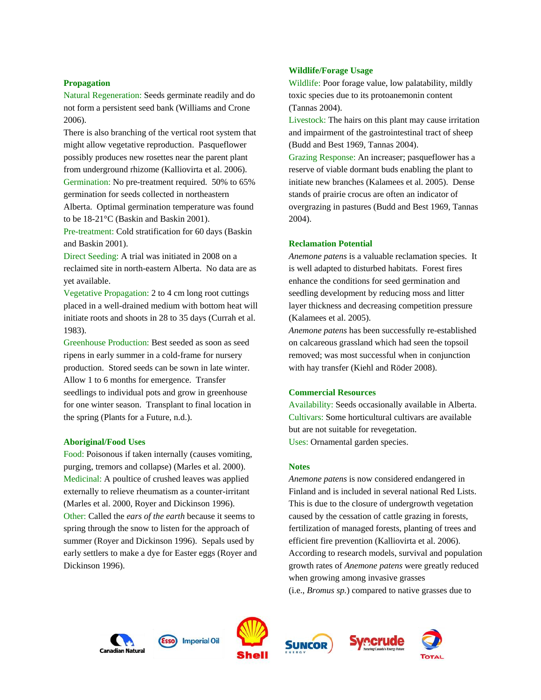#### **Propagation**

Natural Regeneration: Seeds germinate readily and do not form a persistent seed bank (Williams and Crone 2006).

There is also branching of the vertical root system that might allow vegetative reproduction. Pasqueflower possibly produces new rosettes near the parent plant from underground rhizome (Kalliovirta et al. 2006).

Germination: No pre-treatment required. 50% to 65% germination for seeds collected in northeastern Alberta. Optimal germination temperature was found to be 18-21°C (Baskin and Baskin 2001).

Pre-treatment: Cold stratification for 60 days (Baskin and Baskin 2001).

Direct Seeding: A trial was initiated in 2008 on a reclaimed site in north-eastern Alberta. No data are as yet available.

Vegetative Propagation: 2 to 4 cm long root cuttings placed in a well-drained medium with bottom heat will initiate roots and shoots in 28 to 35 days (Currah et al. 1983).

Greenhouse Production: Best seeded as soon as seed ripens in early summer in a cold-frame for nursery production. Stored seeds can be sown in late winter. Allow 1 to 6 months for emergence. Transfer seedlings to individual pots and grow in greenhouse for one winter season. Transplant to final location in the spring (Plants for a Future, n.d.).

### **Aboriginal/Food Uses**

Food: Poisonous if taken internally (causes vomiting, purging, tremors and collapse) (Marles et al. 2000). Medicinal: A poultice of crushed leaves was applied externally to relieve rheumatism as a counter-irritant (Marles et al. 2000, Royer and Dickinson 1996). Other: Called the *ears of the earth* because it seems to spring through the snow to listen for the approach of summer (Royer and Dickinson 1996). Sepals used by early settlers to make a dye for Easter eggs (Royer and Dickinson 1996).

#### **Wildlife/Forage Usage**

Wildlife: Poor forage value, low palatability, mildly toxic species due to its protoanemonin content (Tannas 2004).

Livestock: The hairs on this plant may cause irritation and impairment of the gastrointestinal tract of sheep (Budd and Best 1969, Tannas 2004).

Grazing Response: An increaser; pasqueflower has a reserve of viable dormant buds enabling the plant to initiate new branches (Kalamees et al. 2005). Dense stands of prairie crocus are often an indicator of overgrazing in pastures (Budd and Best 1969, Tannas 2004).

#### **Reclamation Potential**

*Anemone patens* is a valuable reclamation species. It is well adapted to disturbed habitats. Forest fires enhance the conditions for seed germination and seedling development by reducing moss and litter layer thickness and decreasing competition pressure (Kalamees et al. 2005).

*Anemone patens* has been successfully re-established on calcareous grassland which had seen the topsoil removed; was most successful when in conjunction with hay transfer (Kiehl and Röder 2008).

#### **Commercial Resources**

Availability: Seeds occasionally available in Alberta. Cultivars: Some horticultural cultivars are available but are not suitable for revegetation. Uses: Ornamental garden species.

#### **Notes**

*Anemone patens* is now considered endangered in Finland and is included in several national Red Lists. This is due to the closure of undergrowth vegetation caused by the cessation of cattle grazing in forests, fertilization of managed forests, planting of trees and efficient fire prevention (Kalliovirta et al. 2006). According to research models, survival and population growth rates of *Anemone patens* were greatly reduced when growing among invasive grasses (i.e., *Bromus sp.*) compared to native grasses due to











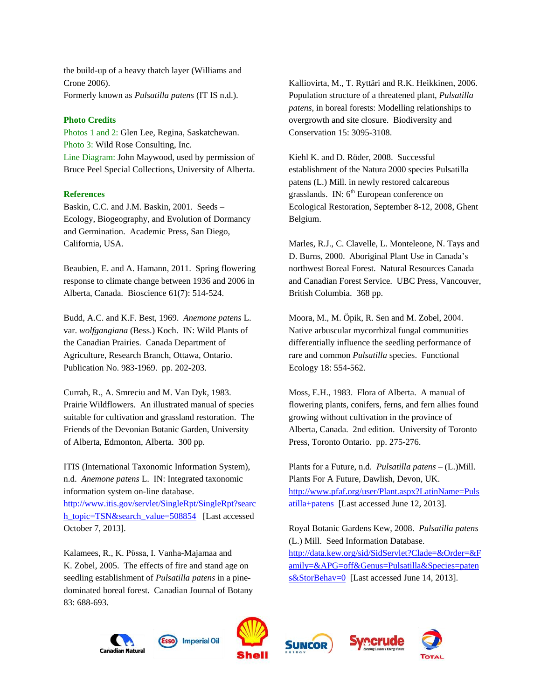the build-up of a heavy thatch layer (Williams and Crone 2006). Formerly known as *Pulsatilla patens* (IT IS n.d.).

### **Photo Credits**

Photos 1 and 2: Glen Lee, Regina, Saskatchewan. Photo 3: Wild Rose Consulting, Inc. Line Diagram: John Maywood, used by permission of Bruce Peel Special Collections, University of Alberta.

## **References**

Baskin, C.C. and J.M. Baskin, 2001. Seeds – Ecology, Biogeography, and Evolution of Dormancy and Germination. Academic Press, San Diego, California, USA.

Beaubien, E. and A. Hamann, 2011. Spring flowering response to climate change between 1936 and 2006 in Alberta, Canada. Bioscience 61(7): 514-524.

Budd, A.C. and K.F. Best, 1969. *Anemone patens* L. var. *wolfgangiana* (Bess.) Koch. IN: Wild Plants of the Canadian Prairies. Canada Department of Agriculture, Research Branch, Ottawa, Ontario. Publication No. 983-1969. pp. 202-203.

Currah, R., A. Smreciu and M. Van Dyk, 1983. Prairie Wildflowers. An illustrated manual of species suitable for cultivation and grassland restoration. The Friends of the Devonian Botanic Garden, University of Alberta, Edmonton, Alberta. 300 pp.

ITIS (International Taxonomic Information System), n.d. *Anemone patens* L. IN: Integrated taxonomic information system on-line database. [http://www.itis.gov/servlet/SingleRpt/SingleRpt?searc](http://www.itis.gov/servlet/SingleRpt/SingleRpt?search_topic=TSN&search_value=508854) [h\\_topic=TSN&search\\_value=508854](http://www.itis.gov/servlet/SingleRpt/SingleRpt?search_topic=TSN&search_value=508854) [Last accessed October 7, 2013].

Kalamees, R., K. Pϋssa, I. Vanha-Majamaa and K. Zobel, 2005. The effects of fire and stand age on seedling establishment of *Pulsatilla patens* in a pinedominated boreal forest. Canadian Journal of Botany 83: 688-693.

Kalliovirta, M., T. Ryttäri and R.K. Heikkinen, 2006. Population structure of a threatened plant, *Pulsatilla patens*, in boreal forests: Modelling relationships to overgrowth and site closure. Biodiversity and Conservation 15: 3095-3108.

Kiehl K. and D. Röder, 2008. Successful establishment of the Natura 2000 species Pulsatilla patens (L.) Mill. in newly restored calcareous grasslands. IN: 6<sup>th</sup> European conference on Ecological Restoration, September 8-12, 2008, Ghent Belgium.

Marles, R.J., C. Clavelle, L. Monteleone, N. Tays and D. Burns, 2000. Aboriginal Plant Use in Canada's northwest Boreal Forest. Natural Resources Canada and Canadian Forest Service. UBC Press, Vancouver, British Columbia. 368 pp.

Moora, M., M. Öpik, R. Sen and M. Zobel, 2004. Native arbuscular mycorrhizal fungal communities differentially influence the seedling performance of rare and common *Pulsatilla* species. Functional Ecology 18: 554-562.

Moss, E.H., 1983. Flora of Alberta. A manual of flowering plants, conifers, ferns, and fern allies found growing without cultivation in the province of Alberta, Canada. 2nd edition. University of Toronto Press, Toronto Ontario. pp. 275-276.

Plants for a Future, n.d. *Pulsatilla patens* – (L.)Mill. Plants For A Future, Dawlish, Devon, UK. [http://www.pfaf.org/user/Plant.aspx?LatinName=Puls](http://www.pfaf.org/user/Plant.aspx?LatinName=Pulsatilla+patens) [atilla+patens](http://www.pfaf.org/user/Plant.aspx?LatinName=Pulsatilla+patens) [Last accessed June 12, 2013].

Royal Botanic Gardens Kew, 2008. *Pulsatilla patens* (L.) Mill. Seed Information Database. [http://data.kew.org/sid/SidServlet?Clade=&Order=&F](http://data.kew.org/sid/SidServlet?Clade=&Order=&Family=&APG=off&Genus=Pulsatilla&Species=patens&StorBehav=0) [amily=&APG=off&Genus=Pulsatilla&Species=paten](http://data.kew.org/sid/SidServlet?Clade=&Order=&Family=&APG=off&Genus=Pulsatilla&Species=patens&StorBehav=0) [s&StorBehav=0](http://data.kew.org/sid/SidServlet?Clade=&Order=&Family=&APG=off&Genus=Pulsatilla&Species=patens&StorBehav=0) [Last accessed June 14, 2013].